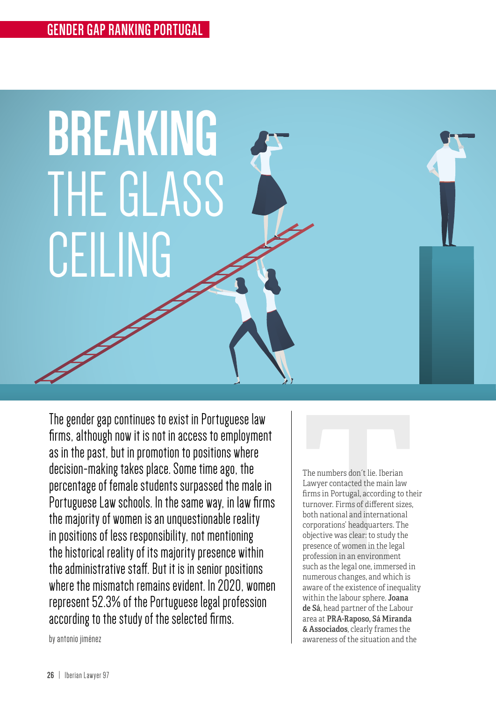

The gender gap continues to exist in Portuguese law firms, although now it is not in access to employment as in the past, but in promotion to positions where decision-making takes place. Some time ago, the percentage of female students surpassed the male in Portuguese Law schools. In the same way, in law firms the majority of women is an unquestionable reality in positions of less responsibility, not mentioning the historical reality of its majority presence within the administrative staff. But it is in senior positions where the mismatch remains evident. In 2020, women represent 52.3% of the Portuguese legal profession according to the study of the selected firms.

The numbers don't lie. Iberian<br>Lawyer contacted the main law<br>firms in Portugal, according to the<br>turnover. Firms of different sizes,<br>both national and international<br>corporations' headquarters. The<br>objective was clear: to s The numbers don´t lie. Iberian Lawyer contacted the main law firms in Portugal, according to their turnover. Firms of different sizes, both national and international corporations' headquarters. The objective was clear: to study the presence of women in the legal profession in an environment such as the legal one, immersed in numerous changes, and which is aware of the existence of inequality within the labour sphere. **Joana** de Sá, head partner of the Labour area at PRA-Raposo, Sá Miranda & Associados, clearly frames the awareness of the situation and the

by antonio jiménez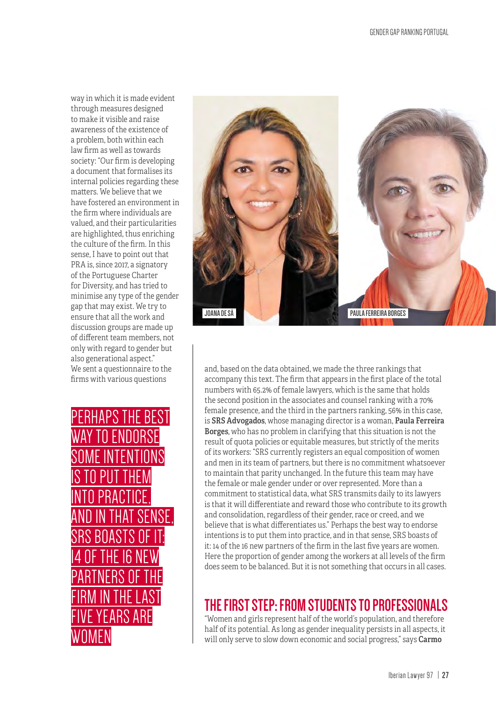way in which it is made evident through measures designed to make it visible and raise awareness of the existence of a problem, both within each law firm as well as towards society: "Our firm is developing a document that formalises its internal policies regarding these matters. We believe that we have fostered an environment in the firm where individuals are valued, and their particularities are highlighted, thus enriching the culture of the firm. In this sense, I have to point out that PRA is, since 2017, a signatory of the Portuguese Charter for Diversity, and has tried to minimise any type of the gender gap that may exist. We try to ensure that all the work and discussion groups are made up of different team members, not only with regard to gender but also generational aspect." We sent a questionnaire to the firms with various questions

PERHAPS THE BEST N ENDORSE SOME INTENTIONS IS TO PUT THEM INTO PRACTICE, AND IN THAT SENSE, SRS BOASTS OF IT: 14 OF THE 16 NEW PARTNERS OF THE FIRM IN THE LAST FIVE YEARS ARE WOMEN



and, based on the data obtained, we made the three rankings that accompany this text. The firm that appears in the first place of the total numbers with 65.2% of female lawyers, which is the same that holds the second position in the associates and counsel ranking with a 70% female presence, and the third in the partners ranking, 56% in this case, is SRS Advogados, whose managing director is a woman, Paula Ferreira Borges, who has no problem in clarifying that this situation is not the result of quota policies or equitable measures, but strictly of the merits of its workers: "SRS currently registers an equal composition of women and men in its team of partners, but there is no commitment whatsoever to maintain that parity unchanged. In the future this team may have the female or male gender under or over represented. More than a commitment to statistical data, what SRS transmits daily to its lawyers is that it will differentiate and reward those who contribute to its growth and consolidation, regardless of their gender, race or creed, and we believe that is what differentiates us." Perhaps the best way to endorse intentions is to put them into practice, and in that sense, SRS boasts of it: 14 of the 16 new partners of the firm in the last five years are women. Here the proportion of gender among the workers at all levels of the firm does seem to be balanced. But it is not something that occurs in all cases.

# **THE FIRST STEP: FROM STUDENTS TO PROFESSIONALS**

"Women and girls represent half of the world's population, and therefore half of its potential. As long as gender inequality persists in all aspects, it will only serve to slow down economic and social progress," says Carmo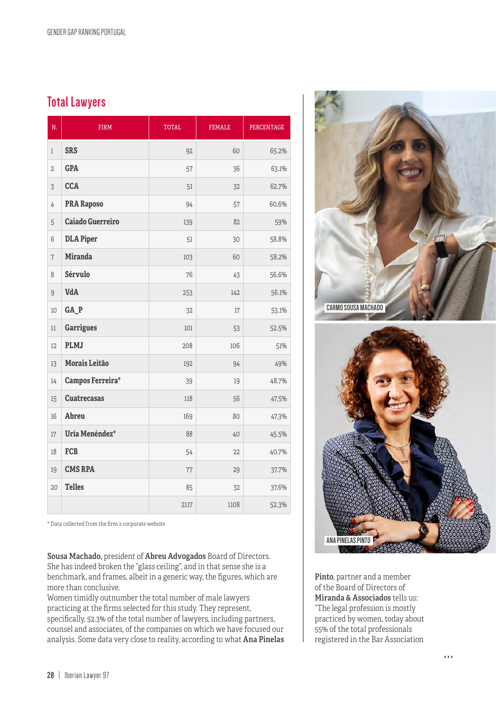### **Total Lawyers**

| N.             | <b>FIRM</b>             | <b>TOTAL</b> | <b>FEMALE</b> | <b>PERCENTAGE</b> |
|----------------|-------------------------|--------------|---------------|-------------------|
| $\mathbf{1}$   | <b>SRS</b>              | 92           | 60            | 65.2%             |
| $\overline{2}$ | <b>GPA</b>              | 57           | 36            | 63.1%             |
| 3              | <b>CCA</b>              | 51           | 32            | 62.7%             |
| 4              | <b>PRA Raposo</b>       | 94           | 57            | 60.6%             |
| 5              | <b>Caiado Guerreiro</b> | 139          | 82            | 59%               |
| 6              | <b>DLA Piper</b>        | 51           | 30            | 58.8%             |
| $\overline{7}$ | <b>Miranda</b>          | 103          | 60            | 58.2%             |
| 8              | Sérvulo                 | 76           | 43            | 56.6%             |
| $\overline{9}$ | VdA                     | 253          | 142           | 56.1%             |
| 10             | GA_P                    | 32           | 17            | 53.1%             |
| $_{11}$        | <b>Garrigues</b>        | 101          | 53            | 52.5%             |
| 12             | <b>PLMJ</b>             | 208          | 106           | 51%               |
| 13             | Morais Leitão           | 192          | 94            | 49%               |
| 14             | <b>Campos Ferreira*</b> | 39           | 19            | 48.7%             |
| 15             | <b>Cuatrecasas</b>      | 118          | 56            | 47.5%             |
| 16             | Abreu                   | 169          | 80            | 47.3%             |
| $17\,$         | Uría Menéndez*          | 88           | 40            | 45.5%             |
| $18\,$         | <b>FCB</b>              | 54           | 22            | 40.7%             |
| 19             | <b>CMS RPA</b>          | 77           | 29            | 37.7%             |
| 20             | <b>Telles</b>           | 85           | 32            | 37.6%             |
|                |                         | 2117         | 1108          | 52.3%             |

\* Data collected from the firm´s corporate website

Sousa Machado, president of Abreu Advogados Board of Directors. She has indeed broken the "glass ceiling", and in that sense she is a benchmark, and frames, albeit in a generic way, the figures, which are more than conclusive.

Women timidly outnumber the total number of male lawyers practicing at the firms selected for this study. They represent, specifically, 52.3% of the total number of lawyers, including partners, counsel and associates, of the companies on which we have focused our analysis. Some data very close to reality, according to what Ana Pinelas



Pinto, partner and a member of the Board of Directors of Miranda & Associados tells us: "The legal profession is mostly practiced by women, today about 55% of the total professionals registered in the Bar Association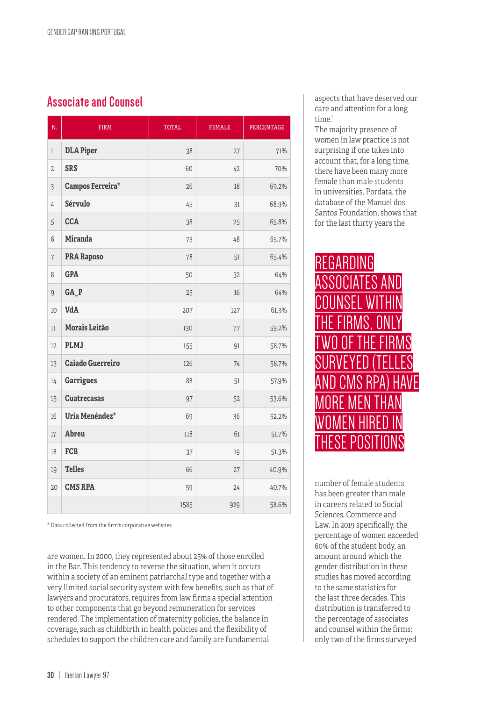### **Associate and Counsel**

| N.             | <b>FIRM</b>             | <b>TOTAL</b> | <b>FEMALE</b> | <b>PERCENTAGE</b> |
|----------------|-------------------------|--------------|---------------|-------------------|
| $\mathbf{1}$   | <b>DLA Piper</b>        | 38           | 27            | 71%               |
| $\sqrt{2}$     | <b>SRS</b>              | 60           | 42            | 70%               |
| 3              | Campos Ferreira*        | 26           | 18            | 69.2%             |
| $\overline{4}$ | Sérvulo                 | 45           | 31            | 68.9%             |
| $\overline{5}$ | <b>CCA</b>              | 38           | 25            | 65.8%             |
| 6              | <b>Miranda</b>          | 73           | 48            | 65.7%             |
| $\overline{7}$ | <b>PRA Raposo</b>       | 78           | 51            | 65.4%             |
| 8              | <b>GPA</b>              | 50           | 32            | 64%               |
| $\overline{9}$ | GA_P                    | 25           | 16            | 64%               |
| $10\,$         | VdA                     | 207          | 127           | 61.3%             |
| $_{11}$        | Morais Leitão           | 130          | 77            | 59.2%             |
| 12             | <b>PLMJ</b>             | 155          | 91            | 58.7%             |
| 13             | <b>Caiado Guerreiro</b> | 126          | 74            | 58.7%             |
| 14             | <b>Garrigues</b>        | 88           | 51            | 57.9%             |
| 15             | <b>Cuatrecasas</b>      | 97           | 52            | 53.6%             |
| 16             | Uría Menéndez*          | 69           | 36            | 52.2%             |
| $17\,$         | Abreu                   | 118          | 61            | 51.7%             |
| 18             | <b>FCB</b>              | 37           | 19            | 51.3%             |
| 19             | <b>Telles</b>           | 66           | 27            | 40.9%             |
| 20             | <b>CMS RPA</b>          | 59           | 24            | 40.7%             |
|                |                         | 1585         | 929           | 58.6%             |

\* Data collected from the firm's corporative websites

are women. In 2000, they represented about 25% of those enrolled in the Bar. This tendency to reverse the situation, when it occurs within a society of an eminent patriarchal type and together with a very limited social security system with few benefits, such as that of lawyers and procurators, requires from law firms a special attention to other components that go beyond remuneration for services rendered. The implementation of maternity policies, the balance in coverage, such as childbirth in health policies and the flexibility of schedules to support the children care and family are fundamental

aspects that have deserved our care and attention for a long time."

The majority presence of women in law practice is not surprising if one takes into account that, for a long time, there have been many more female than male students in universities. Pordata, the database of the Manuel dos Santos Foundation, shows that for the last thirty years the



number of female students has been greater than male in careers related to Social Sciences, Commerce and Law. In 2019 specifically, the percentage of women exceeded 60% of the student body, an amount around which the gender distribution in these studies has moved according to the same statistics for the last three decades. This distribution is transferred to the percentage of associates and counsel within the firms: only two of the firms surveyed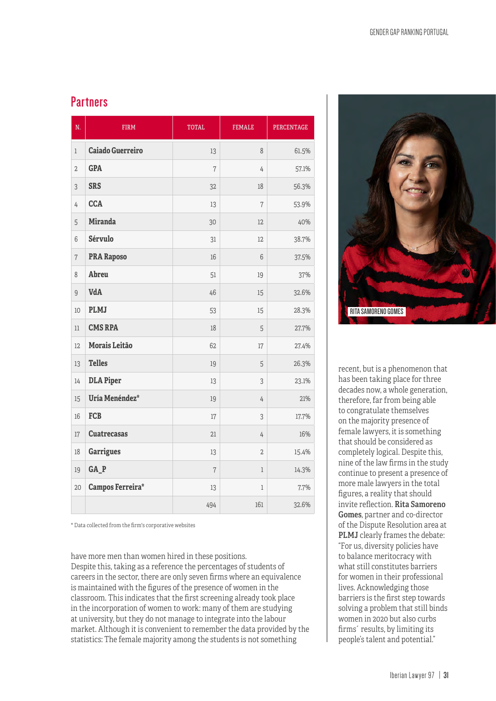#### **Partners**

| N.             | <b>FIRM</b>             | <b>TOTAL</b>   | <b>FEMALE</b>  | <b>PERCENTAGE</b> |
|----------------|-------------------------|----------------|----------------|-------------------|
| $\mathbf{1}$   | <b>Caiado Guerreiro</b> | 13             | 8              | 61.5%             |
| $\overline{2}$ | <b>GPA</b>              | $\overline{7}$ | 4              | 57.1%             |
| $\overline{3}$ | <b>SRS</b>              | 32             | 18             | 56.3%             |
| 4              | <b>CCA</b>              | 13             | 7              | 53.9%             |
| $\overline{5}$ | <b>Miranda</b>          | 30             | 12             | 40%               |
| 6              | <b>Sérvulo</b>          | 31             | 12             | 38.7%             |
| $\overline{7}$ | <b>PRA Raposo</b>       | 16             | 6              | 37.5%             |
| 8              | Abreu                   | 51             | 19             | 37%               |
| $\overline{9}$ | VdA                     | 46             | 15             | 32.6%             |
| 10             | <b>PLMJ</b>             | 53             | 15             | 28.3%             |
| $_{11}$        | <b>CMS RPA</b>          | 18             | 5              | 27.7%             |
| 12             | Morais Leitão           | 62             | 17             | 27.4%             |
| 13             | <b>Telles</b>           | 19             | 5              | 26.3%             |
| 14             | <b>DLA Piper</b>        | 13             | 3              | 23.1%             |
| 15             | Uría Menéndez*          | 19             | 4              | 21%               |
| 16             | <b>FCB</b>              | 17             | 3              | 17.7%             |
| 17             | <b>Cuatrecasas</b>      | 21             | 4              | 16%               |
| 18             | <b>Garrigues</b>        | 13             | $\overline{2}$ | 15.4%             |
| 19             | $GA$ <sub>P</sub>       | 7              | $\mathbf{1}$   | 14.3%             |
| 20             | <b>Campos Ferreira*</b> | 13             | 1              | 7.7%              |
|                |                         | 494            | 161            | 32.6%             |

\* Data collected from the firm's corporative websites

have more men than women hired in these positions. Despite this, taking as a reference the percentages of students of careers in the sector, there are only seven firms where an equivalence is maintained with the figures of the presence of women in the classroom. This indicates that the first screening already took place in the incorporation of women to work: many of them are studying at university, but they do not manage to integrate into the labour market. Although it is convenient to remember the data provided by the statistics: The female majority among the students is not something



recent, but is a phenomenon that has been taking place for three decades now, a whole generation, therefore, far from being able to congratulate themselves on the majority presence of female lawyers, it is something that should be considered as completely logical. Despite this, nine of the law firms in the study continue to present a presence of more male lawyers in the total figures, a reality that should invite reflection. Rita Samoreno Gomes, partner and co-director of the Dispute Resolution area at PLMJ clearly frames the debate: "For us, diversity policies have to balance meritocracy with what still constitutes barriers for women in their professional lives. Acknowledging those barriers is the first step towards solving a problem that still binds women in 2020 but also curbs firms´ results, by limiting its people's talent and potential."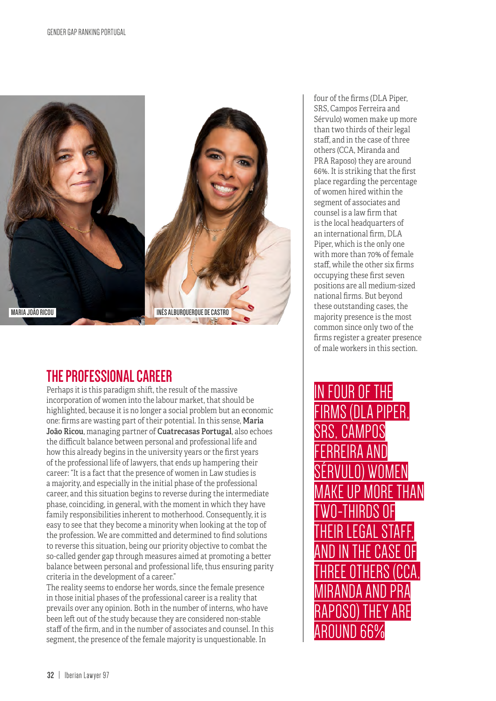

## **THE PROFESSIONAL CAREER**

Perhaps it is this paradigm shift, the result of the massive incorporation of women into the labour market, that should be highlighted, because it is no longer a social problem but an economic one: firms are wasting part of their potential. In this sense, Maria João Ricou, managing partner of Cuatrecasas Portugal, also echoes the difficult balance between personal and professional life and how this already begins in the university years or the first years of the professional life of lawyers, that ends up hampering their career: "It is a fact that the presence of women in Law studies is a majority, and especially in the initial phase of the professional career, and this situation begins to reverse during the intermediate phase, coinciding, in general, with the moment in which they have family responsibilities inherent to motherhood. Consequently, it is easy to see that they become a minority when looking at the top of the profession. We are committed and determined to find solutions to reverse this situation, being our priority objective to combat the so-called gender gap through measures aimed at promoting a better balance between personal and professional life, thus ensuring parity criteria in the development of a career."

The reality seems to endorse her words, since the female presence in those initial phases of the professional career is a reality that prevails over any opinion. Both in the number of interns, who have been left out of the study because they are considered non-stable staff of the firm, and in the number of associates and counsel. In this segment, the presence of the female majority is unquestionable. In

four of the firms (DLA Piper, SRS, Campos Ferreira and Sérvulo) women make up more than two thirds of their legal staff, and in the case of three others (CCA, Miranda and PRA Raposo) they are around 66%. It is striking that the first place regarding the percentage of women hired within the segment of associates and counsel is a law firm that is the local headquarters of an international firm, DLA Piper, which is the only one with more than 70% of female staff, while the other six firms occupying these first seven positions are all medium-sized national firms. But beyond these outstanding cases, the majority presence is the most common since only two of the firms register a greater presence of male workers in this section.

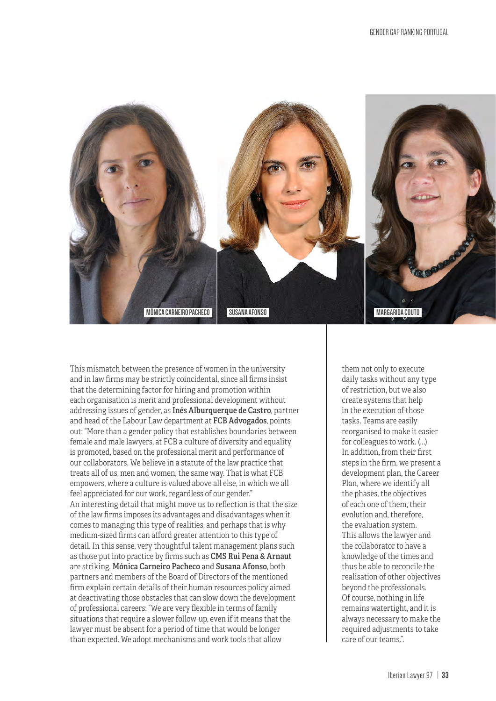

This mismatch between the presence of women in the university and in law firms may be strictly coincidental, since all firms insist that the determining factor for hiring and promotion within each organisation is merit and professional development without addressing issues of gender, as Inés Alburquerque de Castro, partner and head of the Labour Law department at FCB Advogados, points out: "More than a gender policy that establishes boundaries between female and male lawyers, at FCB a culture of diversity and equality is promoted, based on the professional merit and performance of our collaborators. We believe in a statute of the law practice that treats all of us, men and women, the same way. That is what FCB empowers, where a culture is valued above all else, in which we all feel appreciated for our work, regardless of our gender." An interesting detail that might move us to reflection is that the size of the law firms imposes its advantages and disadvantages when it comes to managing this type of realities, and perhaps that is why medium-sized firms can afford greater attention to this type of detail. In this sense, very thoughtful talent management plans such as those put into practice by firms such as CMS Rui Pena & Arnaut are striking. Mónica Carneiro Pacheco and Susana Afonso, both partners and members of the Board of Directors of the mentioned firm explain certain details of their human resources policy aimed at deactivating those obstacles that can slow down the development of professional careers: "We are very flexible in terms of family situations that require a slower follow-up, even if it means that the lawyer must be absent for a period of time that would be longer than expected. We adopt mechanisms and work tools that allow

them not only to execute daily tasks without any type of restriction, but we also create systems that help in the execution of those tasks. Teams are easily reorganised to make it easier for colleagues to work. (…) In addition, from their first steps in the firm, we present a development plan, the Career Plan, where we identify all the phases, the objectives of each one of them, their evolution and, therefore, the evaluation system. This allows the lawyer and the collaborator to have a knowledge of the times and thus be able to reconcile the realisation of other objectives beyond the professionals. Of course, nothing in life remains watertight, and it is always necessary to make the required adjustments to take care of our teams.".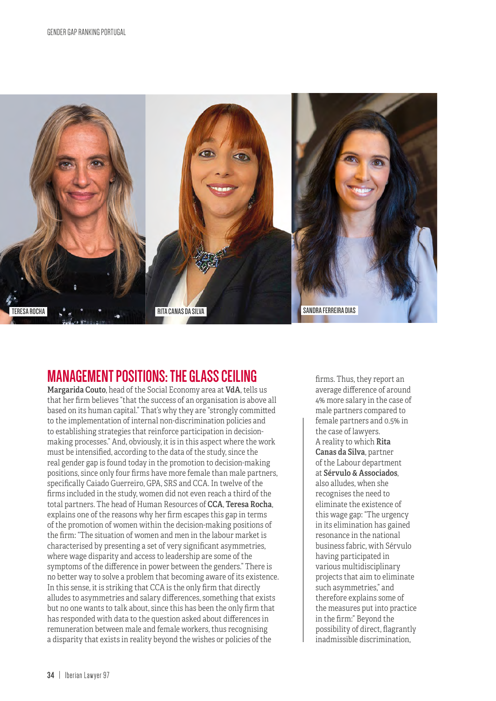

## **MANAGEMENT POSITIONS: THE GLASS CEILING**

Margarida Couto, head of the Social Economy area at VdA, tells us that her firm believes "that the success of an organisation is above all based on its human capital." That's why they are "strongly committed to the implementation of internal non-discrimination policies and to establishing strategies that reinforce participation in decisionmaking processes." And, obviously, it is in this aspect where the work must be intensified, according to the data of the study, since the real gender gap is found today in the promotion to decision-making positions, since only four firms have more female than male partners, specifically Caiado Guerreiro, GPA, SRS and CCA. In twelve of the firms included in the study, women did not even reach a third of the total partners. The head of Human Resources of CCA, Teresa Rocha, explains one of the reasons why her firm escapes this gap in terms of the promotion of women within the decision-making positions of the firm: "The situation of women and men in the labour market is characterised by presenting a set of very significant asymmetries, where wage disparity and access to leadership are some of the symptoms of the difference in power between the genders." There is no better way to solve a problem that becoming aware of its existence. In this sense, it is striking that CCA is the only firm that directly alludes to asymmetries and salary differences, something that exists but no one wants to talk about, since this has been the only firm that has responded with data to the question asked about differences in remuneration between male and female workers, thus recognising a disparity that exists in reality beyond the wishes or policies of the

firms. Thus, they report an average difference of around 4% more salary in the case of male partners compared to female partners and 0.5% in the case of lawyers. A reality to which Rita Canas da Silva, partner of the Labour department at Sérvulo & Associados, also alludes, when she recognises the need to eliminate the existence of this wage gap: "The urgency in its elimination has gained resonance in the national business fabric, with Sérvulo having participated in various multidisciplinary projects that aim to eliminate such asymmetries," and therefore explains some of the measures put into practice in the firm:" Beyond the possibility of direct, flagrantly inadmissible discrimination,